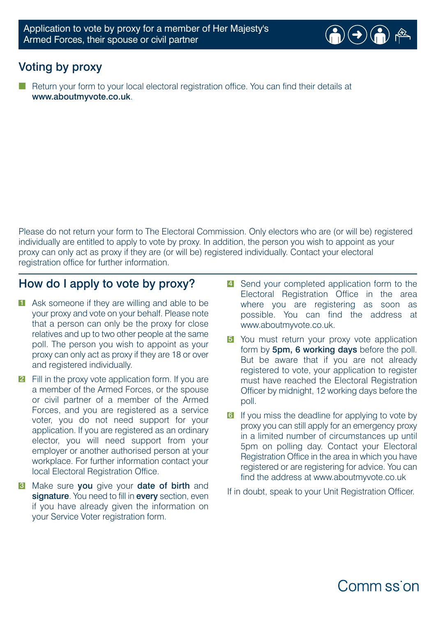

## Voting by proxy

Return your form to your local electoral registration office. You can find their details at www.aboutmyvote.co.uk.

Please do not return your form to The Electoral Commission. Only electors who are (or will be) registered individually are entitled to apply to vote by proxy. In addition, the person you wish to appoint as your proxy can only act as proxy if they are (or will be) registered individually. Contact your electoral registration office for further information.

#### How do I apply to vote by proxy?

- **1** Ask someone if they are willing and able to be your proxy and vote on your behalf. Please note that a person can only be the proxy for close relatives and up to two other people at the same poll. The person you wish to appoint as your proxy can only act as proxy if they are 18 or over and registered individually.
- **2** Fill in the proxy vote application form. If you are a member of the Armed Forces, or the spouse or civil partner of a member of the Armed Forces, and you are registered as a service voter, you do not need support for your application. If you are registered as an ordinary elector, you will need support from your employer or another authorised person at your workplace. For further information contact your local Electoral Registration Office.
- **3** Make sure you give your date of birth and signature. You need to fill in every section, even if you have already given the information on your Service Voter registration form.
- 4 Send your completed application form to the Electoral Registration Office in the area where you are registering as soon as possible. You can find the address at www.aboutmyvote.co.uk.
- **5** You must return your proxy vote application form by 5pm, 6 working days before the poll. But be aware that if you are not already registered to vote, your application to register must have reached the Electoral Registration Officer by midnight, 12 working days before the poll.
- **6** If you miss the deadline for applying to vote by proxy you can still apply for an emergency proxy in a limited number of circumstances up until 5pm on polling day. Contact your Electoral Registration Office in the area in which you have registered or are registering for advice. You can find the address at www.aboutmyvote.co.uk

If in doubt, speak to your Unit Registration Officer.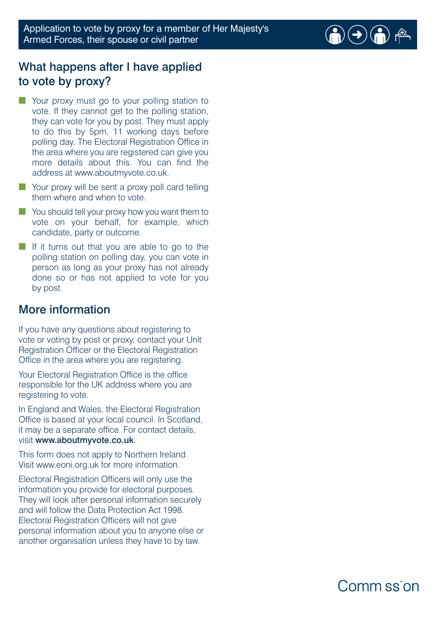

# What happens after I have applied to vote by proxy?

- Your proxy must go to your polling station to vote. If they cannot get to the polling station, they can vote for you by post. They must apply to do this by 5pm, 11 working days before polling day. The Electoral Registration Office in the area where you are registered can give you more details about this. You can find the address at www.aboutmyvote.co.uk.
- Your proxy will be sent a proxy poll card telling them where and when to vote.
- You should tell your proxy how you want them to vote on your behalf, for example, which candidate, party or outcome.
- If it turns out that you are able to go to the polling station on polling day, you can vote in person as long as your proxy has not already done so or has not applied to vote for you by post.

### More information

If you have any questions about registering to vote or voting by post or proxy, contact your Unit Registration Officer or the Electoral Registration Office in the area where you are registering.

Your Electoral Registration Office is the office responsible for the UK address where you are registering to vote.

In England and Wales, the Electoral Registration Office is based at your local council. In Scotland, it may be a separate office. For contact details, visit www.aboutmyvote.co.uk.

This form does not apply to Northern Ireland. Visit www.eoni.org.uk for more information.

Electoral Registration Officers will only use the information you provide for electoral purposes. They will look after personal information securely and will follow the Data Protection Act 1998. Electoral Registration Officers will not give personal information about you to anyone else or another organisation unless they have to by law.